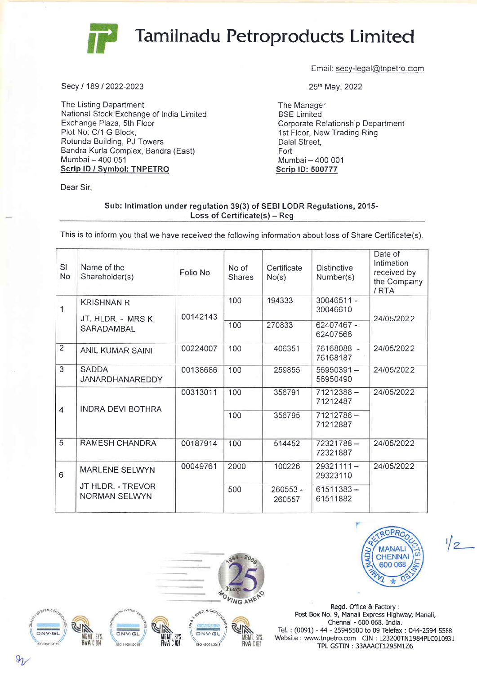

## Tamilnadu Petroproducts Limited

Secy/18912022-2023

The Listing Department National Stock Exchange of India Limited Exchange Plaza, Sth Floor Plot No: C/1 G Block, Rotunda Building, PJ Towers Bandra Kurla Complex, Bandra (East) Mumbai - 400 <sup>051</sup> Scrip lD / Svmbol: TNPETRO

Dear Sir.

Email: secy-legal@tnpetro.com

25th May,2022

The Manager BSE Limited Corporate Relationship Department 1st Floor, New Trading Ring Dalal Street, Fort Mumbai - 400 001 Scrip lD: 500777

## Sub: Intimation under regulation 39(3) of SEBI LODR Regulations, 2015-Loss of Certificate(s) - Reg

This is to inform you that we have received the following information about loss of Share Certificate(s).

| SI<br>No       | Name of the<br>Shareholder(s)             | Folio No | No of<br><b>Shares</b> | Certificate<br>No(s) | <b>Distinctive</b><br>Number(s) | Date of<br>Intimation<br>received by<br>the Company<br>/RTA |
|----------------|-------------------------------------------|----------|------------------------|----------------------|---------------------------------|-------------------------------------------------------------|
| 1              | <b>KRISHNAN R</b><br>JT. HLDR. - MRS K    | 00142143 | 100                    | 194333               | 30046511 -<br>30046610          | 24/05/2022                                                  |
|                | SARADAMBAL                                |          | 100                    | 270833               | 62407467 -<br>62407566          |                                                             |
| $\overline{2}$ | ANIL KUMAR SAINI                          | 00224007 | 100                    | 406351               | 76168088 -<br>76168187          | 24/05/2022                                                  |
| 3              | <b>SADDA</b><br>JANARDHANAREDDY           | 00138686 | 100                    | 259855               | 56950391-<br>56950490           | 24/05/2022                                                  |
| $\overline{4}$ | <b>INDRA DEVI BOTHRA</b>                  | 00313011 | 100                    | 356791               | $71212388 -$<br>71212487        | 24/05/2022                                                  |
|                |                                           |          | 100                    | 356795               | 71212788-<br>71212887           |                                                             |
| $\overline{5}$ | <b>RAMESH CHANDRA</b>                     | 00187914 | 100                    | 514452               | 72321788-<br>72321887           | 24/05/2022                                                  |
| 6              | <b>MARLENE SELWYN</b>                     | 00049761 | 2000                   | 100226               | $29321111 -$<br>29323110        | 24/05/2022                                                  |
|                | JT HLDR. - TREVOR<br><b>NORMAN SELWYN</b> |          | 500                    | 260553 -<br>260557   | $61511383 -$<br>61511882        |                                                             |





 $\frac{1}{2}$ 

Regd. Office & Factory : Post Box No, 9, Manali Express Highway, Manali, Chennai - 600 068. India. Iel, : (0091) - 44 - 25945500 to 09 Telefax : 044-2594 <sup>5588</sup> Website : www.tnpetro.com CIN : L23200TN1984PLC010931 TPL GSTIN: 33AAACT1295M1Z6